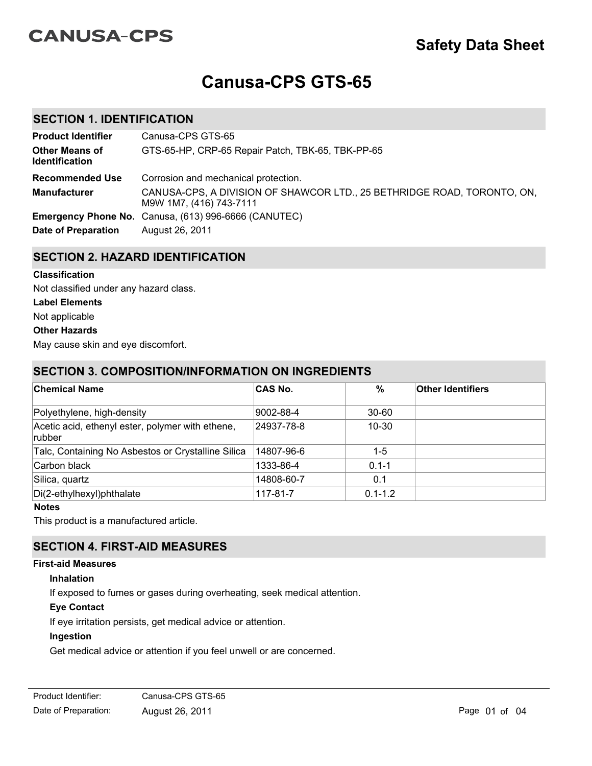# **CANUSA-CPS**

# **Safety Data Sheet**

# **Canusa-CPS GTS-65**

# **SECTION 1. IDENTIFICATION**

| <b>Product Identifier</b>                      | Canusa-CPS GTS-65                                                                                  |
|------------------------------------------------|----------------------------------------------------------------------------------------------------|
| <b>Other Means of</b><br><b>Identification</b> | GTS-65-HP, CRP-65 Repair Patch, TBK-65, TBK-PP-65                                                  |
| <b>Recommended Use</b>                         | Corrosion and mechanical protection.                                                               |
| <b>Manufacturer</b>                            | CANUSA-CPS, A DIVISION OF SHAWCOR LTD., 25 BETHRIDGE ROAD, TORONTO, ON,<br>M9W 1M7, (416) 743-7111 |
|                                                | <b>Emergency Phone No.</b> Canusa, (613) 996-6666 (CANUTEC)                                        |
| Date of Preparation                            | August 26, 2011                                                                                    |

# **SECTION 2. HAZARD IDENTIFICATION**

### **Classification**

Not classified under any hazard class.

#### **Label Elements**

Not applicable

#### **Other Hazards**

May cause skin and eye discomfort.

## **SECTION 3. COMPOSITION/INFORMATION ON INGREDIENTS**

| ∣Chemical Name                                                    | <b>CAS No.</b> | $\%$        | <b>Other Identifiers</b> |
|-------------------------------------------------------------------|----------------|-------------|--------------------------|
| Polyethylene, high-density                                        | 9002-88-4      | $30 - 60$   |                          |
| Acetic acid, ethenyl ester, polymer with ethene,<br><b>rubber</b> | 24937-78-8     | $10 - 30$   |                          |
| Talc, Containing No Asbestos or Crystalline Silica                | 14807-96-6     | 1-5         |                          |
| Carbon black                                                      | 1333-86-4      | $0.1 - 1$   |                          |
| Silica, quartz                                                    | 14808-60-7     | 0.1         |                          |
| Di(2-ethylhexyl)phthalate                                         | 117-81-7       | $0.1 - 1.2$ |                          |

### **Notes**

This product is a manufactured article.

### **SECTION 4. FIRST-AID MEASURES**

### **First-aid Measures**

### **Inhalation**

If exposed to fumes or gases during overheating, seek medical attention.

### **Eye Contact**

If eye irritation persists, get medical advice or attention.

### **Ingestion**

Get medical advice or attention if you feel unwell or are concerned.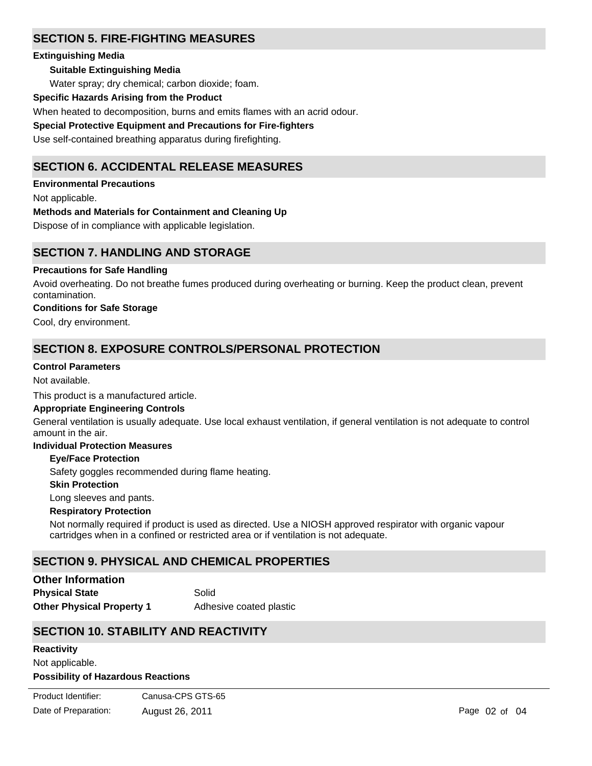# **SECTION 5. FIRE-FIGHTING MEASURES**

### **Extinguishing Media**

### **Suitable Extinguishing Media**

Water spray; dry chemical; carbon dioxide; foam.

### **Specific Hazards Arising from the Product**

When heated to decomposition, burns and emits flames with an acrid odour.

### **Special Protective Equipment and Precautions for Fire-fighters**

Use self-contained breathing apparatus during firefighting.

# **SECTION 6. ACCIDENTAL RELEASE MEASURES**

**Environmental Precautions**

Not applicable.

### **Methods and Materials for Containment and Cleaning Up**

Dispose of in compliance with applicable legislation.

### **SECTION 7. HANDLING AND STORAGE**

### **Precautions for Safe Handling**

Avoid overheating. Do not breathe fumes produced during overheating or burning. Keep the product clean, prevent contamination.

### **Conditions for Safe Storage**

Cool, dry environment.

# **SECTION 8. EXPOSURE CONTROLS/PERSONAL PROTECTION**

### **Control Parameters**

Not available.

This product is a manufactured article.

#### **Appropriate Engineering Controls**

General ventilation is usually adequate. Use local exhaust ventilation, if general ventilation is not adequate to control amount in the air.

### **Individual Protection Measures**

### **Eye/Face Protection**

Safety goggles recommended during flame heating.

#### **Skin Protection**

Long sleeves and pants.

#### **Respiratory Protection**

Not normally required if product is used as directed. Use a NIOSH approved respirator with organic vapour cartridges when in a confined or restricted area or if ventilation is not adequate.

### **SECTION 9. PHYSICAL AND CHEMICAL PROPERTIES**

**Other Physical Property 1** Adhesive coated plastic **Physical State** Solid **Other Information**

### **SECTION 10. STABILITY AND REACTIVITY**

#### **Reactivity**

Not applicable.

#### **Possibility of Hazardous Reactions**

Product Identifier: Canusa-CPS GTS-65 Date of Preparation: August 26, 2011 **Page 02 of 04** Page 02 of 04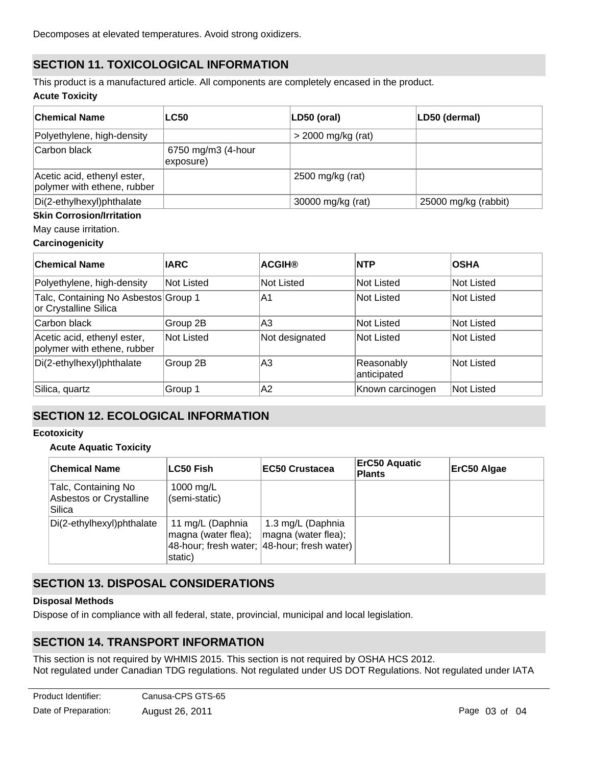# **SECTION 11. TOXICOLOGICAL INFORMATION**

This product is a manufactured article. All components are completely encased in the product.

### **Acute Toxicity**

| ∣Chemical Name                                             | <b>LC50</b>                     | LD50 (oral)          | LD50 (dermal)        |
|------------------------------------------------------------|---------------------------------|----------------------|----------------------|
| Polyethylene, high-density                                 |                                 | $>$ 2000 mg/kg (rat) |                      |
| Carbon black                                               | 6750 mg/m3 (4-hour<br>exposure) |                      |                      |
| Acetic acid, ethenyl ester,<br>polymer with ethene, rubber |                                 | 2500 mg/kg (rat)     |                      |
| Di(2-ethylhexyl)phthalate                                  |                                 | 30000 mg/kg (rat)    | 25000 mg/kg (rabbit) |

## **Skin Corrosion/Irritation**

May cause irritation.

### **Carcinogenicity**

| <b>Chemical Name</b>                                          | <b>IARC</b> | <b>ACGIH®</b>  | <b>NTP</b>                | <b>OSHA</b> |
|---------------------------------------------------------------|-------------|----------------|---------------------------|-------------|
| Polyethylene, high-density                                    | Not Listed  | Not Listed     | <b>Not Listed</b>         | Not Listed  |
| Talc, Containing No Asbestos Group 1<br>or Crystalline Silica |             | ΙA1            | <b>Not Listed</b>         | Not Listed  |
| Carbon black                                                  | Group 2B    | lА3            | Not Listed                | Not Listed  |
| Acetic acid, ethenyl ester,<br>polymer with ethene, rubber    | Not Listed  | Not designated | Not Listed                | Not Listed  |
| Di(2-ethylhexyl)phthalate                                     | Group 2B    | A3             | Reasonably<br>anticipated | Not Listed  |
| Silica, quartz                                                | Group 1     | A2             | Known carcinogen          | Not Listed  |

# **SECTION 12. ECOLOGICAL INFORMATION**

### **Ecotoxicity**

**Acute Aquatic Toxicity**

| <b>Chemical Name</b>                                     | <b>LC50 Fish</b>                                   | <b>IEC50 Crustacea</b>                                                                  | <b>ErC50 Aquatic</b><br><b>Plants</b> | ErC50 Algae |
|----------------------------------------------------------|----------------------------------------------------|-----------------------------------------------------------------------------------------|---------------------------------------|-------------|
| Talc, Containing No<br>Asbestos or Crystalline<br>Silica | 1000 mg/L<br>(semi-static)                         |                                                                                         |                                       |             |
| Di(2-ethylhexyl)phthalate                                | 11 mg/L (Daphnia<br>magna (water flea);<br>static) | 1.3 mg/L (Daphnia<br>magna (water flea);<br>48-hour; fresh water; 48-hour; fresh water) |                                       |             |

# **SECTION 13. DISPOSAL CONSIDERATIONS**

### **Disposal Methods**

Dispose of in compliance with all federal, state, provincial, municipal and local legislation.

# **SECTION 14. TRANSPORT INFORMATION**

This section is not required by WHMIS 2015. This section is not required by OSHA HCS 2012. Not regulated under Canadian TDG regulations. Not regulated under US DOT Regulations. Not regulated under IATA